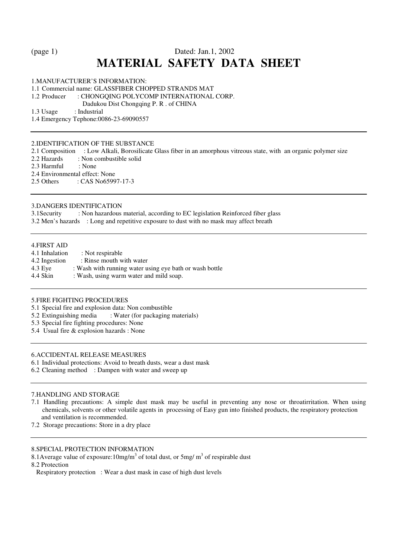# (page 1) Dated: Jan.1, 2002 **MATERIAL SAFETY DATA SHEET**

1.MANUFACTURER'S INFORMATION:

1.1 Commercial name: GLASSFIBER CHOPPED STRANDS MAT

1.2 Producer : CHONGQING POLYCOMP INTERNATIONAL CORP.

Dadukou Dist Chongqing P. R . of CHINA<br>1.3 Usage : Industrial

: Industrial

1.4 Emergency Tephone:0086-23-69090557

#### 2.IDENTIFICATION OF THE SUBSTANCE

- 2.1 Composition : Low Alkali, Borosilicate Glass fiber in an amorphous vitreous state, with an organic polymer size 2.2 Hazards : Non combustible solid
- : Non combustible solid

2.3 Harmful : None

2.4 Environmental effect: None

2.5 Others : CAS No65997-17-3

#### 3.DANGERS IDENTIFICATION

3.1Security : Non hazardous material, according to EC legislation Reinforced fiber glass

3.2 Men's hazards : Long and repetitive exposure to dust with no mask may affect breath

#### 4.FIRST AID

| : Not respirable                                        |  |  |
|---------------------------------------------------------|--|--|
| : Rinse mouth with water                                |  |  |
| : Wash with running water using eye bath or wash bottle |  |  |
| : Wash, using warm water and mild soap.                 |  |  |
|                                                         |  |  |

#### 5.FIRE FIGHTING PROCEDURES

5.1 Special fire and explosion data: Non combustible

5.2 Extinguishing media : Water (for packaging materials)

5.3 Special fire fighting procedures: None

5.4 Usual fire & explosion hazards : None

#### 6.ACCIDENTAL RELEASE MEASURES

6.1 Individual protections: Avoid to breath dusts, wear a dust mask

6.2 Cleaning method : Dampen with water and sweep up

# 7.HANDLING AND STORAGE

- 7.1 Handling precautions: A simple dust mask may be useful in preventing any nose or throatirritation. When using chemicals, solvents or other volatile agents in processing of Easy gun into finished products, the respiratory protection and ventilation is recommended.
- 7.2 Storage precautions: Store in a dry place

## 8.SPECIAL PROTECTION INFORMATION

8.1Average value of exposure:10mg/m<sup>3</sup> of total dust, or 5mg/ m<sup>3</sup> of respirable dust

8.2 Protection

Respiratory protection : Wear a dust mask in case of high dust levels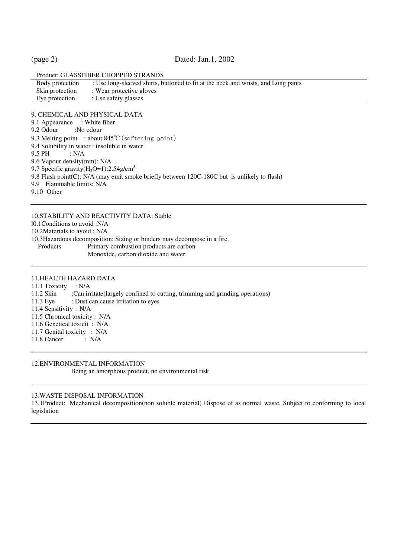#### (page 2) Dated: Jan.1, 2002

| Product: GLASSFIBER CHOPPED STRANDS |                                                                                   |  |  |  |
|-------------------------------------|-----------------------------------------------------------------------------------|--|--|--|
| Body protection                     | : Use long-sleeved shirts, buttoned to fit at the neck and wrists, and Long pants |  |  |  |
| Skin protection                     | : Wear protective gloves                                                          |  |  |  |
| Eye protection                      | : Use safety glasses                                                              |  |  |  |
|                                     |                                                                                   |  |  |  |

#### 9. CHEMICAL AND PHYSICAL DATA

9.1 Appearance : White fiber

- 9.2 Odour :No odour
- 9.3 Melting point : about 845℃ (softening point)
- 9.4 Solubility in water : insoluble in water
- 9.5 PH : N/A
- 9.6 Vapour density(mm): N/A
- 9.7 Specific gravity( $H_2O=1$ ):2.54g/cm<sup>3</sup>
- 9.8 Flash point(C): N/A (may emit smoke briefly between 120C-180C but is unlikely to flash)
- 9.9 Flammable limits: N/A

9.10 Other

10.STABILITY AND REACTIVITY DATA: Stable l0.1Conditions to avoid :N/A 10.2Materials to avoid : N/A 10.3Hazardous decomposition: Sizing or binders may decompose in a fire.<br>Products Primary combustion products are carbon Primary combustion products are carbon Monoxide, carbon dioxide and water

# 11.HEALTH HAZARD DATA

11.1 Toxicity : N/A 11.2 Skin :Can irritate(largely confined to cutting, trimming and grinding operations) 11.3 Eye : Dust can cause irritation to eyes 11.4 Sensitivity : N/A 11.5 Chronical toxicity : N/A 11.6 Genetical toxicit : N/A 11.7 Genital toxicity : N/A 11.8 Cancer : N/A

# 12.ENVIRONMENTAL INFORMATION

Being an amorphous product, no environmental risk

#### 13.WASTE DISPOSAL INFORMATION

13.1Product: Mechanical decomposition(non soluble material) Dispose of as normal waste, Subject to conforming to local legislation